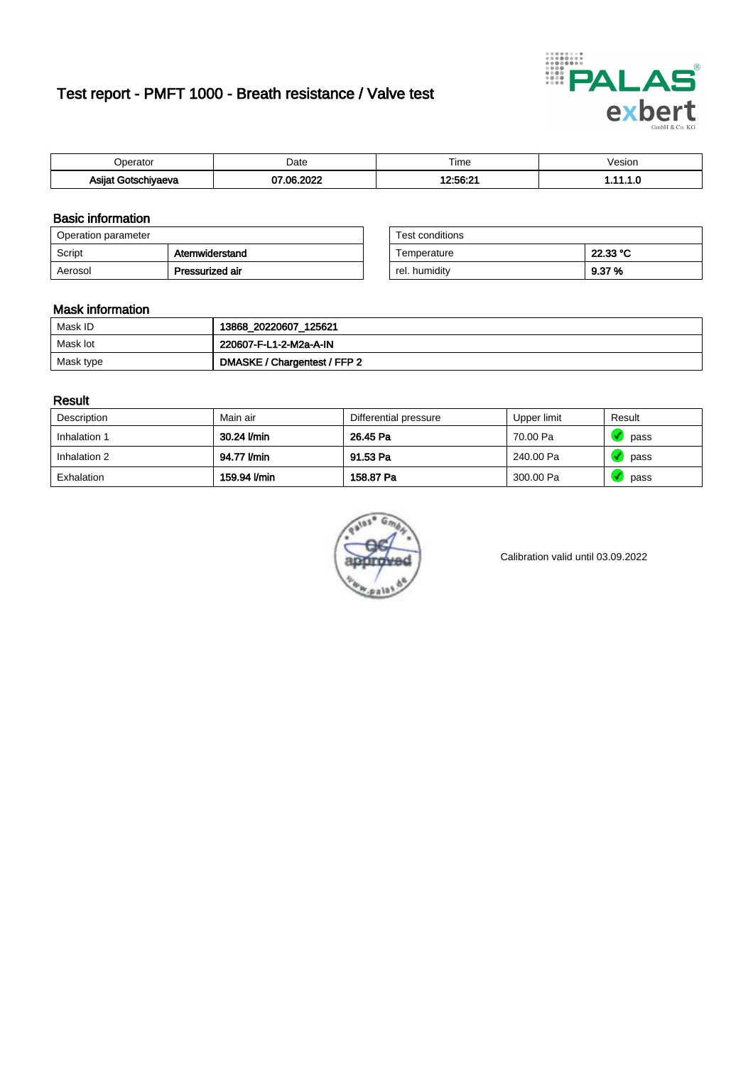# Test report - PMFT 1000 - Breath resistance / Valve test



| )perator                           | Date               | $- \cdot$<br>Гіmе | /esion |
|------------------------------------|--------------------|-------------------|--------|
| Asijat Got <u>e</u> r '<br>hiyaeva | ാറാറ<br>. റെ.<br>w | 12:56:21          | .      |

### Basic information

| Operation parameter |                 | Test conditions |          |
|---------------------|-----------------|-----------------|----------|
| Script              | Atemwiderstand  | Temperature     | 22.33 °C |
| Aerosol             | Pressurized air | rel. humidity   | 9.37 %   |

| Test conditions |          |
|-----------------|----------|
| Temperature     | 22.33 °C |
| rel. humidity   | 9.37%    |

#### Mask information

| Mask ID   | 13868_20220607_125621        |
|-----------|------------------------------|
| Mask lot  | 220607-F-L1-2-M2a-A-IN       |
| Mask type | DMASKE / Chargentest / FFP 2 |

### Result

| Description  | Main air     | Differential pressure | Upper limit | Result |
|--------------|--------------|-----------------------|-------------|--------|
| Inhalation 1 | 30.24 l/min  | 26.45 Pa              | 70.00 Pa    | pass   |
| Inhalation 2 | 94.77 l/min  | 91.53 Pa              | 240.00 Pa   | pass   |
| Exhalation   | 159.94 l/min | 158.87 Pa             | 300.00 Pa   | pass   |



Calibration valid until 03.09.2022